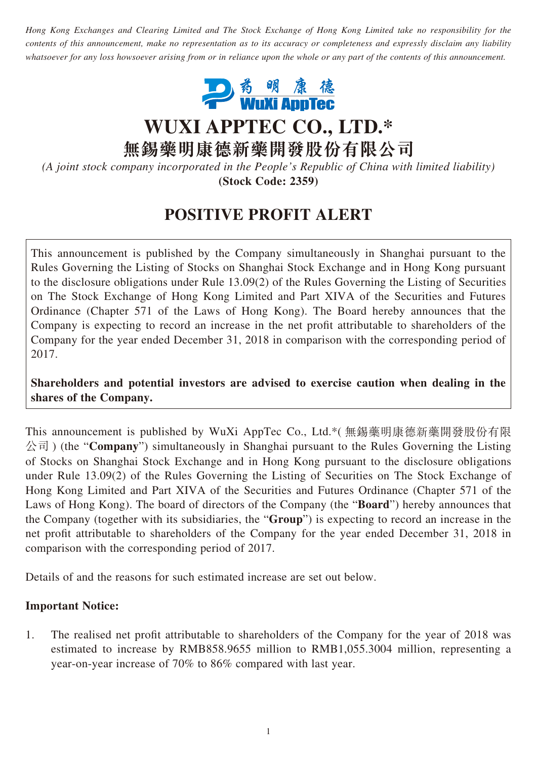*Hong Kong Exchanges and Clearing Limited and The Stock Exchange of Hong Kong Limited take no responsibility for the contents of this announcement, make no representation as to its accuracy or completeness and expressly disclaim any liability whatsoever for any loss howsoever arising from or in reliance upon the whole or any part of the contents of this announcement.*



**WUXI APPTEC CO., LTD.\***

**無錫藥明康德新藥開發股份有限公司**

*(A joint stock company incorporated in the People's Republic of China with limited liability)* **(Stock Code: 2359)**

# **POSITIVE PROFIT ALERT**

This announcement is published by the Company simultaneously in Shanghai pursuant to the Rules Governing the Listing of Stocks on Shanghai Stock Exchange and in Hong Kong pursuant to the disclosure obligations under Rule 13.09(2) of the Rules Governing the Listing of Securities on The Stock Exchange of Hong Kong Limited and Part XIVA of the Securities and Futures Ordinance (Chapter 571 of the Laws of Hong Kong). The Board hereby announces that the Company is expecting to record an increase in the net profit attributable to shareholders of the Company for the year ended December 31, 2018 in comparison with the corresponding period of 2017.

**Shareholders and potential investors are advised to exercise caution when dealing in the shares of the Company.**

This announcement is published by WuXi AppTec Co., Ltd.\*( 無錫藥明康德新藥開發股份有限 公司 ) (the "**Company**") simultaneously in Shanghai pursuant to the Rules Governing the Listing of Stocks on Shanghai Stock Exchange and in Hong Kong pursuant to the disclosure obligations under Rule 13.09(2) of the Rules Governing the Listing of Securities on The Stock Exchange of Hong Kong Limited and Part XIVA of the Securities and Futures Ordinance (Chapter 571 of the Laws of Hong Kong). The board of directors of the Company (the "**Board**") hereby announces that the Company (together with its subsidiaries, the "**Group**") is expecting to record an increase in the net profit attributable to shareholders of the Company for the year ended December 31, 2018 in comparison with the corresponding period of 2017.

Details of and the reasons for such estimated increase are set out below.

#### **Important Notice:**

1. The realised net profit attributable to shareholders of the Company for the year of 2018 was estimated to increase by RMB858.9655 million to RMB1,055.3004 million, representing a year-on-year increase of 70% to 86% compared with last year.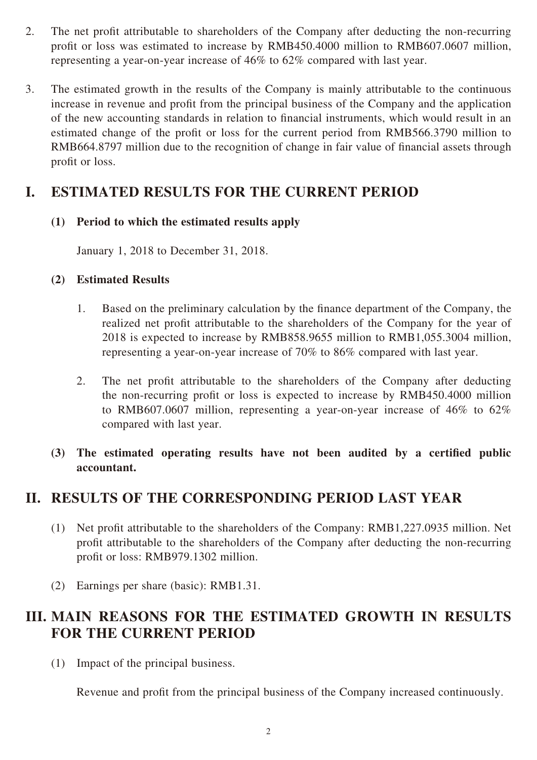- 2. The net profit attributable to shareholders of the Company after deducting the non-recurring profit or loss was estimated to increase by RMB450.4000 million to RMB607.0607 million, representing a year-on-year increase of 46% to 62% compared with last year.
- 3. The estimated growth in the results of the Company is mainly attributable to the continuous increase in revenue and profit from the principal business of the Company and the application of the new accounting standards in relation to financial instruments, which would result in an estimated change of the profit or loss for the current period from RMB566.3790 million to RMB664.8797 million due to the recognition of change in fair value of financial assets through profit or loss.

## **I. ESTIMATED RESULTS FOR THE CURRENT PERIOD**

#### **(1) Period to which the estimated results apply**

January 1, 2018 to December 31, 2018.

#### **(2) Estimated Results**

- 1. Based on the preliminary calculation by the finance department of the Company, the realized net profit attributable to the shareholders of the Company for the year of 2018 is expected to increase by RMB858.9655 million to RMB1,055.3004 million, representing a year-on-year increase of 70% to 86% compared with last year.
- 2. The net profit attributable to the shareholders of the Company after deducting the non-recurring profit or loss is expected to increase by RMB450.4000 million to RMB607.0607 million, representing a year-on-year increase of 46% to 62% compared with last year.
- **(3) The estimated operating results have not been audited by a certified public accountant.**

### **II. RESULTS OF THE CORRESPONDING PERIOD LAST YEAR**

- (1) Net profit attributable to the shareholders of the Company: RMB1,227.0935 million. Net profit attributable to the shareholders of the Company after deducting the non-recurring profit or loss: RMB979.1302 million.
- (2) Earnings per share (basic): RMB1.31.

## **III. MAIN REASONS FOR THE ESTIMATED GROWTH IN RESULTS FOR THE CURRENT PERIOD**

(1) Impact of the principal business.

Revenue and profit from the principal business of the Company increased continuously.